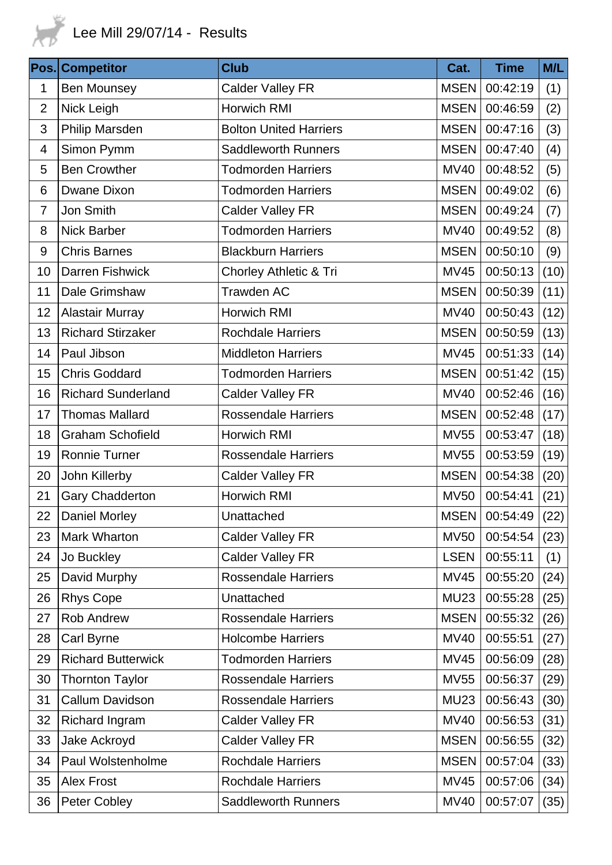

| Pos.           | <b>Competitor</b>         | <b>Club</b>                       | Cat.        | <b>Time</b>   | M/L  |
|----------------|---------------------------|-----------------------------------|-------------|---------------|------|
| 1              | <b>Ben Mounsey</b>        | <b>Calder Valley FR</b>           | <b>MSEN</b> | 00:42:19      | (1)  |
| $\overline{2}$ | Nick Leigh                | Horwich RMI                       | <b>MSEN</b> | 00:46:59      | (2)  |
| 3              | Philip Marsden            | <b>Bolton United Harriers</b>     | <b>MSEN</b> | 00:47:16      | (3)  |
| 4              | Simon Pymm                | <b>Saddleworth Runners</b>        | <b>MSEN</b> | 00:47:40      | (4)  |
| 5              | <b>Ben Crowther</b>       | <b>Todmorden Harriers</b>         | <b>MV40</b> | 00:48:52      | (5)  |
| 6              | <b>Dwane Dixon</b>        | <b>Todmorden Harriers</b>         | <b>MSEN</b> | 00:49:02      | (6)  |
| $\overline{7}$ | Jon Smith                 | <b>Calder Valley FR</b>           | <b>MSEN</b> | 00:49:24      | (7)  |
| 8              | <b>Nick Barber</b>        | <b>Todmorden Harriers</b>         | <b>MV40</b> | 00:49:52      | (8)  |
| $9\,$          | <b>Chris Barnes</b>       | <b>Blackburn Harriers</b>         | <b>MSEN</b> | 00:50:10      | (9)  |
| 10             | Darren Fishwick           | <b>Chorley Athletic &amp; Tri</b> | <b>MV45</b> | 00:50:13      | (10) |
| 11             | Dale Grimshaw             | <b>Trawden AC</b>                 | <b>MSEN</b> | 00:50:39      | (11) |
| 12             | <b>Alastair Murray</b>    | Horwich RMI                       | <b>MV40</b> | 00:50:43      | (12) |
| 13             | <b>Richard Stirzaker</b>  | <b>Rochdale Harriers</b>          | <b>MSEN</b> | 00:50:59      | (13) |
| 14             | Paul Jibson               | <b>Middleton Harriers</b>         | <b>MV45</b> | 00:51:33      | (14) |
| 15             | <b>Chris Goddard</b>      | <b>Todmorden Harriers</b>         | <b>MSEN</b> | 00:51:42      | (15) |
| 16             | <b>Richard Sunderland</b> | Calder Valley FR                  | <b>MV40</b> | 00:52:46      | (16) |
| 17             | <b>Thomas Mallard</b>     | <b>Rossendale Harriers</b>        | <b>MSEN</b> | 00:52:48      | (17) |
| 18             | <b>Graham Schofield</b>   | Horwich RMI                       | <b>MV55</b> | 00:53:47      | (18) |
| 19             | <b>Ronnie Turner</b>      | <b>Rossendale Harriers</b>        | <b>MV55</b> | 00:53:59      | (19) |
| 20             | John Killerby             | <b>Calder Valley FR</b>           | <b>MSEN</b> | 00:54:38      | (20) |
| 21             | <b>Gary Chadderton</b>    | Horwich RMI                       | <b>MV50</b> | 00:54:41      | (21) |
| 22             | <b>Daniel Morley</b>      | Unattached                        |             | MSEN 00:54:49 | (22) |
| 23             | <b>Mark Wharton</b>       | <b>Calder Valley FR</b>           | <b>MV50</b> | 00:54:54      | (23) |
| 24             | Jo Buckley                | Calder Valley FR                  | <b>LSEN</b> | 00:55:11      | (1)  |
| 25             | David Murphy              | <b>Rossendale Harriers</b>        | <b>MV45</b> | 00:55:20      | (24) |
| 26             | <b>Rhys Cope</b>          | Unattached                        | <b>MU23</b> | 00:55:28      | (25) |
| 27             | Rob Andrew                | <b>Rossendale Harriers</b>        | <b>MSEN</b> | 00:55:32      | (26) |
| 28             | Carl Byrne                | <b>Holcombe Harriers</b>          | <b>MV40</b> | 00:55:51      | (27) |
| 29             | <b>Richard Butterwick</b> | <b>Todmorden Harriers</b>         | <b>MV45</b> | 00:56:09      | (28) |
| 30             | <b>Thornton Taylor</b>    | <b>Rossendale Harriers</b>        | <b>MV55</b> | 00:56:37      | (29) |
| 31             | Callum Davidson           | <b>Rossendale Harriers</b>        | <b>MU23</b> | 00:56:43      | (30) |
| 32             | Richard Ingram            | <b>Calder Valley FR</b>           | <b>MV40</b> | 00:56:53      | (31) |
| 33             | Jake Ackroyd              | Calder Valley FR                  | <b>MSEN</b> | 00:56:55      | (32) |
| 34             | Paul Wolstenholme         | <b>Rochdale Harriers</b>          | <b>MSEN</b> | 00:57:04      | (33) |
| 35             | <b>Alex Frost</b>         | <b>Rochdale Harriers</b>          | <b>MV45</b> | 00:57:06      | (34) |
| 36             | Peter Cobley              | <b>Saddleworth Runners</b>        | <b>MV40</b> | 00:57:07      | (35) |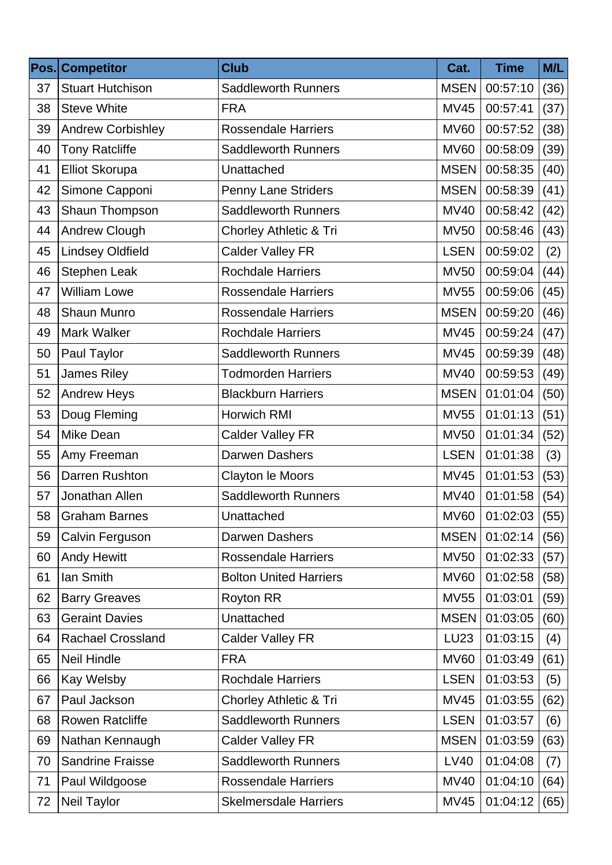| Pos. | <b>Competitor</b>        | <b>Club</b>                       | Cat.        | <b>Time</b> | M/L  |
|------|--------------------------|-----------------------------------|-------------|-------------|------|
| 37   | <b>Stuart Hutchison</b>  | <b>Saddleworth Runners</b>        | <b>MSEN</b> | 00:57:10    | (36) |
| 38   | <b>Steve White</b>       | <b>FRA</b>                        | <b>MV45</b> | 00:57:41    | (37) |
| 39   | <b>Andrew Corbishley</b> | <b>Rossendale Harriers</b>        | <b>MV60</b> | 00:57:52    | (38) |
| 40   | <b>Tony Ratcliffe</b>    | <b>Saddleworth Runners</b>        | <b>MV60</b> | 00:58:09    | (39) |
| 41   | <b>Elliot Skorupa</b>    | Unattached                        | <b>MSEN</b> | 00:58:35    | (40) |
| 42   | Simone Capponi           | <b>Penny Lane Striders</b>        | <b>MSEN</b> | 00:58:39    | (41) |
| 43   | Shaun Thompson           | <b>Saddleworth Runners</b>        | <b>MV40</b> | 00:58:42    | (42) |
| 44   | Andrew Clough            | <b>Chorley Athletic &amp; Tri</b> | <b>MV50</b> | 00:58:46    | (43) |
| 45   | <b>Lindsey Oldfield</b>  | <b>Calder Valley FR</b>           | <b>LSEN</b> | 00:59:02    | (2)  |
| 46   | <b>Stephen Leak</b>      | <b>Rochdale Harriers</b>          | <b>MV50</b> | 00:59:04    | (44) |
| 47   | <b>William Lowe</b>      | <b>Rossendale Harriers</b>        | <b>MV55</b> | 00:59:06    | (45) |
| 48   | Shaun Munro              | <b>Rossendale Harriers</b>        | <b>MSEN</b> | 00:59:20    | (46) |
| 49   | <b>Mark Walker</b>       | <b>Rochdale Harriers</b>          | <b>MV45</b> | 00:59:24    | (47) |
| 50   | Paul Taylor              | <b>Saddleworth Runners</b>        | <b>MV45</b> | 00:59:39    | (48) |
| 51   | James Riley              | <b>Todmorden Harriers</b>         | <b>MV40</b> | 00:59:53    | (49) |
| 52   | <b>Andrew Heys</b>       | <b>Blackburn Harriers</b>         | <b>MSEN</b> | 01:01:04    | (50) |
| 53   | Doug Fleming             | Horwich RMI                       | <b>MV55</b> | 01:01:13    | (51) |
| 54   | Mike Dean                | <b>Calder Valley FR</b>           | <b>MV50</b> | 01:01:34    | (52) |
| 55   | Amy Freeman              | Darwen Dashers                    | <b>LSEN</b> | 01:01:38    | (3)  |
| 56   | Darren Rushton           | Clayton le Moors                  | <b>MV45</b> | 01:01:53    | (53) |
| 57   | Jonathan Allen           | <b>Saddleworth Runners</b>        | <b>MV40</b> | 01:01:58    | (54) |
| 58   | <b>Graham Barnes</b>     | Unattached                        | MV60        | 01:02:03    | (55) |
| 59   | Calvin Ferguson          | <b>Darwen Dashers</b>             | <b>MSEN</b> | 01:02:14    | (56) |
| 60   | <b>Andy Hewitt</b>       | <b>Rossendale Harriers</b>        | <b>MV50</b> | 01:02:33    | (57) |
| 61   | Ian Smith                | <b>Bolton United Harriers</b>     | <b>MV60</b> | 01:02:58    | (58) |
| 62   | <b>Barry Greaves</b>     | <b>Royton RR</b>                  | <b>MV55</b> | 01:03:01    | (59) |
| 63   | <b>Geraint Davies</b>    | Unattached                        | <b>MSEN</b> | 01:03:05    | (60) |
| 64   | <b>Rachael Crossland</b> | <b>Calder Valley FR</b>           | <b>LU23</b> | 01:03:15    | (4)  |
| 65   | <b>Neil Hindle</b>       | <b>FRA</b>                        | <b>MV60</b> | 01:03:49    | (61) |
| 66   | Kay Welsby               | <b>Rochdale Harriers</b>          | <b>LSEN</b> | 01:03:53    | (5)  |
| 67   | Paul Jackson             | <b>Chorley Athletic &amp; Tri</b> | <b>MV45</b> | 01:03:55    | (62) |
| 68   | Rowen Ratcliffe          | <b>Saddleworth Runners</b>        | <b>LSEN</b> | 01:03:57    | (6)  |
| 69   | Nathan Kennaugh          | <b>Calder Valley FR</b>           | <b>MSEN</b> | 01:03:59    | (63) |
| 70   | <b>Sandrine Fraisse</b>  | <b>Saddleworth Runners</b>        | <b>LV40</b> | 01:04:08    | (7)  |
| 71   | Paul Wildgoose           | <b>Rossendale Harriers</b>        | <b>MV40</b> | 01:04:10    | (64) |
| 72   | Neil Taylor              | <b>Skelmersdale Harriers</b>      | <b>MV45</b> | 01:04:12    | (65) |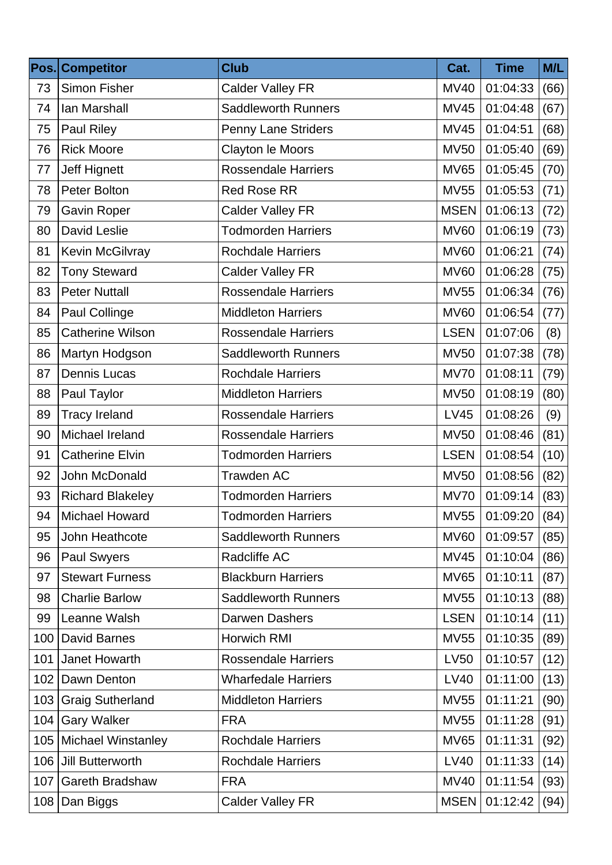| Pos. | <b>Competitor</b>         | <b>Club</b>                | Cat.        | <b>Time</b> | M/L  |
|------|---------------------------|----------------------------|-------------|-------------|------|
| 73   | <b>Simon Fisher</b>       | <b>Calder Valley FR</b>    | <b>MV40</b> | 01:04:33    | (66) |
| 74   | Ian Marshall              | <b>Saddleworth Runners</b> | <b>MV45</b> | 01:04:48    | (67) |
| 75   | Paul Riley                | <b>Penny Lane Striders</b> | <b>MV45</b> | 01:04:51    | (68) |
| 76   | <b>Rick Moore</b>         | Clayton le Moors           | <b>MV50</b> | 01:05:40    | (69) |
| 77   | <b>Jeff Hignett</b>       | <b>Rossendale Harriers</b> | <b>MV65</b> | 01:05:45    | (70) |
| 78   | Peter Bolton              | <b>Red Rose RR</b>         | <b>MV55</b> | 01:05:53    | (71) |
| 79   | <b>Gavin Roper</b>        | <b>Calder Valley FR</b>    | <b>MSEN</b> | 01:06:13    | (72) |
| 80   | <b>David Leslie</b>       | <b>Todmorden Harriers</b>  | <b>MV60</b> | 01:06:19    | (73) |
| 81   | Kevin McGilvray           | <b>Rochdale Harriers</b>   | <b>MV60</b> | 01:06:21    | (74) |
| 82   | <b>Tony Steward</b>       | <b>Calder Valley FR</b>    | <b>MV60</b> | 01:06:28    | (75) |
| 83   | <b>Peter Nuttall</b>      | <b>Rossendale Harriers</b> | <b>MV55</b> | 01:06:34    | (76) |
| 84   | Paul Collinge             | <b>Middleton Harriers</b>  | <b>MV60</b> | 01:06:54    | (77) |
| 85   | <b>Catherine Wilson</b>   | <b>Rossendale Harriers</b> | <b>LSEN</b> | 01:07:06    | (8)  |
| 86   | Martyn Hodgson            | <b>Saddleworth Runners</b> | <b>MV50</b> | 01:07:38    | (78) |
| 87   | <b>Dennis Lucas</b>       | <b>Rochdale Harriers</b>   | <b>MV70</b> | 01:08:11    | (79) |
| 88   | Paul Taylor               | <b>Middleton Harriers</b>  | <b>MV50</b> | 01:08:19    | (80) |
| 89   | <b>Tracy Ireland</b>      | <b>Rossendale Harriers</b> | <b>LV45</b> | 01:08:26    | (9)  |
| 90   | Michael Ireland           | <b>Rossendale Harriers</b> | <b>MV50</b> | 01:08:46    | (81) |
| 91   | <b>Catherine Elvin</b>    | <b>Todmorden Harriers</b>  | <b>LSEN</b> | 01:08:54    | (10) |
| 92   | John McDonald             | <b>Trawden AC</b>          | <b>MV50</b> | 01:08:56    | (82) |
| 93   | <b>Richard Blakeley</b>   | <b>Todmorden Harriers</b>  | <b>MV70</b> | 01:09:14    | (83) |
| 94   | <b>Michael Howard</b>     | <b>Todmorden Harriers</b>  | MV55        | 01:09:20    | (84) |
| 95   | John Heathcote            | <b>Saddleworth Runners</b> | <b>MV60</b> | 01:09:57    | (85) |
| 96   | <b>Paul Swyers</b>        | Radcliffe AC               | <b>MV45</b> | 01:10:04    | (86) |
| 97   | <b>Stewart Furness</b>    | <b>Blackburn Harriers</b>  | <b>MV65</b> | 01:10:11    | (87) |
| 98   | <b>Charlie Barlow</b>     | <b>Saddleworth Runners</b> | <b>MV55</b> | 01:10:13    | (88) |
| 99   | Leanne Walsh              | Darwen Dashers             | <b>LSEN</b> | 01:10:14    | (11) |
| 100  | <b>David Barnes</b>       | Horwich RMI                | <b>MV55</b> | 01:10:35    | (89) |
| 101  | Janet Howarth             | <b>Rossendale Harriers</b> | <b>LV50</b> | 01:10:57    | (12) |
| 102  | Dawn Denton               | <b>Wharfedale Harriers</b> | <b>LV40</b> | 01:11:00    | (13) |
| 103  | <b>Graig Sutherland</b>   | <b>Middleton Harriers</b>  | <b>MV55</b> | 01:11:21    | (90) |
| 104  | <b>Gary Walker</b>        | <b>FRA</b>                 | <b>MV55</b> | 01:11:28    | (91) |
| 105  | <b>Michael Winstanley</b> | <b>Rochdale Harriers</b>   | <b>MV65</b> | 01:11:31    | (92) |
| 106  | Jill Butterworth          | <b>Rochdale Harriers</b>   | <b>LV40</b> | 01:11:33    | (14) |
| 107  | Gareth Bradshaw           | <b>FRA</b>                 | <b>MV40</b> | 01:11:54    | (93) |
| 108  | Dan Biggs                 | <b>Calder Valley FR</b>    | <b>MSEN</b> | 01:12:42    | (94) |